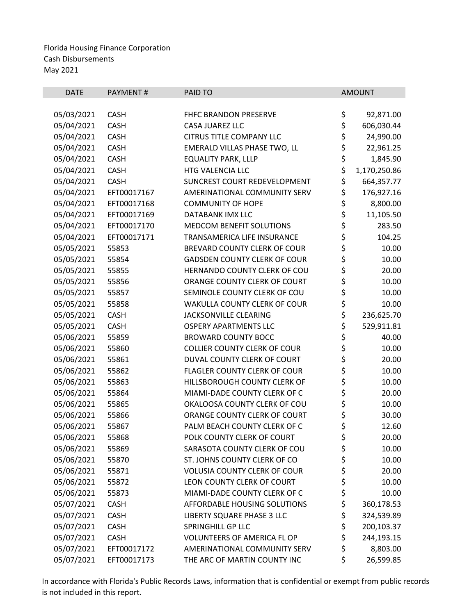| <b>DATE</b> | <b>PAYMENT#</b> | PAID TO                             |          | <b>AMOUNT</b> |
|-------------|-----------------|-------------------------------------|----------|---------------|
|             |                 |                                     |          |               |
| 05/03/2021  | <b>CASH</b>     | <b>FHFC BRANDON PRESERVE</b>        | \$       | 92,871.00     |
| 05/04/2021  | <b>CASH</b>     | CASA JUAREZ LLC                     | \$       | 606,030.44    |
| 05/04/2021  | <b>CASH</b>     | <b>CITRUS TITLE COMPANY LLC</b>     | \$       | 24,990.00     |
| 05/04/2021  | CASH            | EMERALD VILLAS PHASE TWO, LL        | \$       | 22,961.25     |
| 05/04/2021  | <b>CASH</b>     | <b>EQUALITY PARK, LLLP</b>          | \$       | 1,845.90      |
| 05/04/2021  | <b>CASH</b>     | HTG VALENCIA LLC                    | \$       | 1,170,250.86  |
| 05/04/2021  | <b>CASH</b>     | SUNCREST COURT REDEVELOPMENT        | \$       | 664,357.77    |
| 05/04/2021  | EFT00017167     | AMERINATIONAL COMMUNITY SERV        | \$       | 176,927.16    |
| 05/04/2021  | EFT00017168     | <b>COMMUNITY OF HOPE</b>            | \$       | 8,800.00      |
| 05/04/2021  | EFT00017169     | DATABANK IMX LLC                    | \$       | 11,105.50     |
| 05/04/2021  | EFT00017170     | <b>MEDCOM BENEFIT SOLUTIONS</b>     | \$<br>\$ | 283.50        |
| 05/04/2021  | EFT00017171     | TRANSAMERICA LIFE INSURANCE         |          | 104.25        |
| 05/05/2021  | 55853           | BREVARD COUNTY CLERK OF COUR        | \$       | 10.00         |
| 05/05/2021  | 55854           | <b>GADSDEN COUNTY CLERK OF COUR</b> | \$       | 10.00         |
| 05/05/2021  | 55855           | HERNANDO COUNTY CLERK OF COU        | \$       | 20.00         |
| 05/05/2021  | 55856           | ORANGE COUNTY CLERK OF COURT        | \$       | 10.00         |
| 05/05/2021  | 55857           | SEMINOLE COUNTY CLERK OF COU        | \$       | 10.00         |
| 05/05/2021  | 55858           | <b>WAKULLA COUNTY CLERK OF COUR</b> | \$       | 10.00         |
| 05/05/2021  | <b>CASH</b>     | JACKSONVILLE CLEARING               | \$       | 236,625.70    |
| 05/05/2021  | <b>CASH</b>     | <b>OSPERY APARTMENTS LLC</b>        | \$       | 529,911.81    |
| 05/06/2021  | 55859           | <b>BROWARD COUNTY BOCC</b>          | \$\$\$   | 40.00         |
| 05/06/2021  | 55860           | <b>COLLIER COUNTY CLERK OF COUR</b> |          | 10.00         |
| 05/06/2021  | 55861           | DUVAL COUNTY CLERK OF COURT         |          | 20.00         |
| 05/06/2021  | 55862           | FLAGLER COUNTY CLERK OF COUR        | \$       | 10.00         |
| 05/06/2021  | 55863           | HILLSBOROUGH COUNTY CLERK OF        | \$       | 10.00         |
| 05/06/2021  | 55864           | MIAMI-DADE COUNTY CLERK OF C        |          | 20.00         |
| 05/06/2021  | 55865           | OKALOOSA COUNTY CLERK OF COU        | \$<br>\$ | 10.00         |
| 05/06/2021  | 55866           | ORANGE COUNTY CLERK OF COURT        | \$       | 30.00         |
| 05/06/2021  | 55867           | PALM BEACH COUNTY CLERK OF C        | \$       | 12.60         |
| 05/06/2021  | 55868           | POLK COUNTY CLERK OF COURT          | \$       | 20.00         |
| 05/06/2021  | 55869           | SARASOTA COUNTY CLERK OF COU        | \$       | 10.00         |
| 05/06/2021  | 55870           | ST. JOHNS COUNTY CLERK OF CO        | \$       | 10.00         |
| 05/06/2021  | 55871           | <b>VOLUSIA COUNTY CLERK OF COUR</b> |          | 20.00         |
| 05/06/2021  | 55872           | LEON COUNTY CLERK OF COURT          | \$<br>\$ | 10.00         |
| 05/06/2021  | 55873           | MIAMI-DADE COUNTY CLERK OF C        | \$       | 10.00         |
| 05/07/2021  | <b>CASH</b>     | AFFORDABLE HOUSING SOLUTIONS        | \$       | 360,178.53    |
| 05/07/2021  | CASH            | LIBERTY SQUARE PHASE 3 LLC          | \$       | 324,539.89    |
| 05/07/2021  | <b>CASH</b>     | SPRINGHILL GP LLC                   | \$       | 200,103.37    |
| 05/07/2021  | <b>CASH</b>     | VOLUNTEERS OF AMERICA FL OP         | \$       | 244,193.15    |
| 05/07/2021  | EFT00017172     | AMERINATIONAL COMMUNITY SERV        | \$       | 8,803.00      |
| 05/07/2021  | EFT00017173     | THE ARC OF MARTIN COUNTY INC        | \$       | 26,599.85     |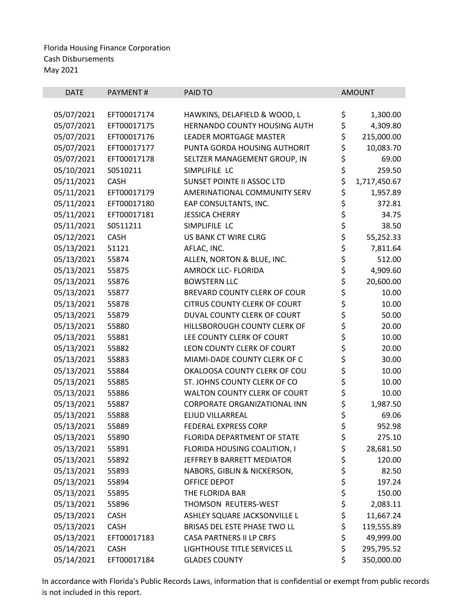| <b>DATE</b> | PAYMENT#    | PAID TO                             |          | <b>AMOUNT</b> |
|-------------|-------------|-------------------------------------|----------|---------------|
|             |             |                                     |          |               |
| 05/07/2021  | EFT00017174 | HAWKINS, DELAFIELD & WOOD, L        | \$       | 1,300.00      |
| 05/07/2021  | EFT00017175 | HERNANDO COUNTY HOUSING AUTH        | \$       | 4,309.80      |
| 05/07/2021  | EFT00017176 | <b>LEADER MORTGAGE MASTER</b>       | \$       | 215,000.00    |
| 05/07/2021  | EFT00017177 | PUNTA GORDA HOUSING AUTHORIT        | \$       | 10,083.70     |
| 05/07/2021  | EFT00017178 | SELTZER MANAGEMENT GROUP, IN        | \$       | 69.00         |
| 05/10/2021  | S0510211    | SIMPLIFILE LC                       | \$       | 259.50        |
| 05/11/2021  | <b>CASH</b> | SUNSET POINTE II ASSOC LTD          | \$       | 1,717,450.67  |
| 05/11/2021  | EFT00017179 | AMERINATIONAL COMMUNITY SERV        | \$       | 1,957.89      |
| 05/11/2021  | EFT00017180 | EAP CONSULTANTS, INC.               | \$       | 372.81        |
| 05/11/2021  | EFT00017181 | <b>JESSICA CHERRY</b>               | \$       | 34.75         |
| 05/11/2021  | S0511211    | SIMPLIFILE LC                       | \$<br>\$ | 38.50         |
| 05/12/2021  | CASH        | US BANK CT WIRE CLRG                |          | 55,252.33     |
| 05/13/2021  | 51121       | AFLAC, INC.                         | \$<br>\$ | 7,811.64      |
| 05/13/2021  | 55874       | ALLEN, NORTON & BLUE, INC.          |          | 512.00        |
| 05/13/2021  | 55875       | <b>AMROCK LLC- FLORIDA</b>          | \$       | 4,909.60      |
| 05/13/2021  | 55876       | <b>BOWSTERN LLC</b>                 | \$       | 20,600.00     |
| 05/13/2021  | 55877       | BREVARD COUNTY CLERK OF COUR        |          | 10.00         |
| 05/13/2021  | 55878       | <b>CITRUS COUNTY CLERK OF COURT</b> | \$\$\$\$ | 10.00         |
| 05/13/2021  | 55879       | DUVAL COUNTY CLERK OF COURT         |          | 50.00         |
| 05/13/2021  | 55880       | HILLSBOROUGH COUNTY CLERK OF        |          | 20.00         |
| 05/13/2021  | 55881       | LEE COUNTY CLERK OF COURT           |          | 10.00         |
| 05/13/2021  | 55882       | LEON COUNTY CLERK OF COURT          | \$\$\$   | 20.00         |
| 05/13/2021  | 55883       | MIAMI-DADE COUNTY CLERK OF C        |          | 30.00         |
| 05/13/2021  | 55884       | OKALOOSA COUNTY CLERK OF COU        | \$<br>\$ | 10.00         |
| 05/13/2021  | 55885       | ST. JOHNS COUNTY CLERK OF CO        |          | 10.00         |
| 05/13/2021  | 55886       | <b>WALTON COUNTY CLERK OF COURT</b> | \$       | 10.00         |
| 05/13/2021  | 55887       | CORPORATE ORGANIZATIONAL INN        | \$       | 1,987.50      |
| 05/13/2021  | 55888       | ELIUD VILLARREAL                    | \$       | 69.06         |
| 05/13/2021  | 55889       | <b>FEDERAL EXPRESS CORP</b>         | \$       | 952.98        |
| 05/13/2021  | 55890       | FLORIDA DEPARTMENT OF STATE         | \$       | 275.10        |
| 05/13/2021  | 55891       | FLORIDA HOUSING COALITION, I        | \$       | 28,681.50     |
| 05/13/2021  | 55892       | JEFFREY B BARRETT MEDIATOR          | \$       | 120.00        |
| 05/13/2021  | 55893       | NABORS, GIBLIN & NICKERSON,         | \$       | 82.50         |
| 05/13/2021  | 55894       | OFFICE DEPOT                        | \$<br>\$ | 197.24        |
| 05/13/2021  | 55895       | THE FLORIDA BAR                     |          | 150.00        |
| 05/13/2021  | 55896       | THOMSON REUTERS-WEST                | \$       | 2,083.11      |
| 05/13/2021  | <b>CASH</b> | ASHLEY SQUARE JACKSONVILLE L        | \$       | 11,667.24     |
| 05/13/2021  | <b>CASH</b> | BRISAS DEL ESTE PHASE TWO LL        | \$       | 119,555.89    |
| 05/13/2021  | EFT00017183 | <b>CASA PARTNERS II LP CRFS</b>     | \$       | 49,999.00     |
| 05/14/2021  | <b>CASH</b> | LIGHTHOUSE TITLE SERVICES LL        | \$       | 295,795.52    |
| 05/14/2021  | EFT00017184 | <b>GLADES COUNTY</b>                | \$       | 350,000.00    |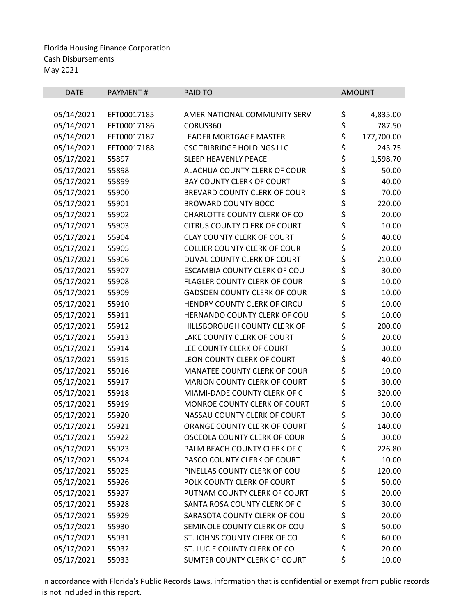| <b>DATE</b> | PAYMENT#    | <b>PAID TO</b>                      |          | <b>AMOUNT</b> |
|-------------|-------------|-------------------------------------|----------|---------------|
|             |             |                                     |          |               |
| 05/14/2021  | EFT00017185 | AMERINATIONAL COMMUNITY SERV        | \$       | 4,835.00      |
| 05/14/2021  | EFT00017186 | CORUS360                            | \$       | 787.50        |
| 05/14/2021  | EFT00017187 | <b>LEADER MORTGAGE MASTER</b>       | \$<br>\$ | 177,700.00    |
| 05/14/2021  | EFT00017188 | <b>CSC TRIBRIDGE HOLDINGS LLC</b>   |          | 243.75        |
| 05/17/2021  | 55897       | SLEEP HEAVENLY PEACE                | \$       | 1,598.70      |
| 05/17/2021  | 55898       | ALACHUA COUNTY CLERK OF COUR        | ややや や    | 50.00         |
| 05/17/2021  | 55899       | BAY COUNTY CLERK OF COURT           |          | 40.00         |
| 05/17/2021  | 55900       | BREVARD COUNTY CLERK OF COUR        |          | 70.00         |
| 05/17/2021  | 55901       | <b>BROWARD COUNTY BOCC</b>          |          | 220.00        |
| 05/17/2021  | 55902       | CHARLOTTE COUNTY CLERK OF CO        |          | 20.00         |
| 05/17/2021  | 55903       | <b>CITRUS COUNTY CLERK OF COURT</b> | ちらさ      | 10.00         |
| 05/17/2021  | 55904       | <b>CLAY COUNTY CLERK OF COURT</b>   |          | 40.00         |
| 05/17/2021  | 55905       | <b>COLLIER COUNTY CLERK OF COUR</b> |          | 20.00         |
| 05/17/2021  | 55906       | DUVAL COUNTY CLERK OF COURT         |          | 210.00        |
| 05/17/2021  | 55907       | ESCAMBIA COUNTY CLERK OF COU        | \$       | 30.00         |
| 05/17/2021  | 55908       | <b>FLAGLER COUNTY CLERK OF COUR</b> |          | 10.00         |
| 05/17/2021  | 55909       | <b>GADSDEN COUNTY CLERK OF COUR</b> | \$\$\$   | 10.00         |
| 05/17/2021  | 55910       | HENDRY COUNTY CLERK OF CIRCU        |          | 10.00         |
| 05/17/2021  | 55911       | HERNANDO COUNTY CLERK OF COU        | \$       | 10.00         |
| 05/17/2021  | 55912       | HILLSBOROUGH COUNTY CLERK OF        | \$       | 200.00        |
| 05/17/2021  | 55913       | LAKE COUNTY CLERK OF COURT          | らら       | 20.00         |
| 05/17/2021  | 55914       | LEE COUNTY CLERK OF COURT           |          | 30.00         |
| 05/17/2021  | 55915       | LEON COUNTY CLERK OF COURT          |          | 40.00         |
| 05/17/2021  | 55916       | MANATEE COUNTY CLERK OF COUR        | \$<br>\$ | 10.00         |
| 05/17/2021  | 55917       | MARION COUNTY CLERK OF COURT        |          | 30.00         |
| 05/17/2021  | 55918       | MIAMI-DADE COUNTY CLERK OF C        | \$       | 320.00        |
| 05/17/2021  | 55919       | MONROE COUNTY CLERK OF COURT        | \$       | 10.00         |
| 05/17/2021  | 55920       | NASSAU COUNTY CLERK OF COURT        | \$       | 30.00         |
| 05/17/2021  | 55921       | ORANGE COUNTY CLERK OF COURT        | \$       | 140.00        |
| 05/17/2021  | 55922       | OSCEOLA COUNTY CLERK OF COUR        | \$       | 30.00         |
| 05/17/2021  | 55923       | PALM BEACH COUNTY CLERK OF C        | \$       | 226.80        |
| 05/17/2021  | 55924       | PASCO COUNTY CLERK OF COURT         | \$       | 10.00         |
| 05/17/2021  | 55925       | PINELLAS COUNTY CLERK OF COU        | \$       | 120.00        |
| 05/17/2021  | 55926       | POLK COUNTY CLERK OF COURT          | \$\$\$\$ | 50.00         |
| 05/17/2021  | 55927       | PUTNAM COUNTY CLERK OF COURT        |          | 20.00         |
| 05/17/2021  | 55928       | SANTA ROSA COUNTY CLERK OF C        |          | 30.00         |
| 05/17/2021  | 55929       | SARASOTA COUNTY CLERK OF COU        |          | 20.00         |
| 05/17/2021  | 55930       | SEMINOLE COUNTY CLERK OF COU        | \$       | 50.00         |
| 05/17/2021  | 55931       | ST. JOHNS COUNTY CLERK OF CO        | \$       | 60.00         |
| 05/17/2021  | 55932       | ST. LUCIE COUNTY CLERK OF CO        | \$       | 20.00         |
| 05/17/2021  | 55933       | SUMTER COUNTY CLERK OF COURT        | \$       | 10.00         |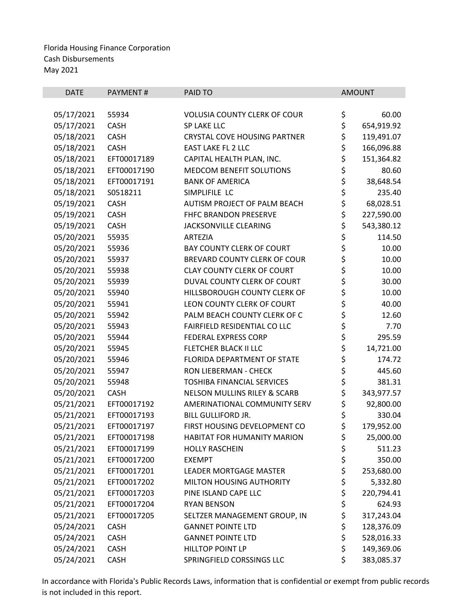| <b>DATE</b> | PAYMENT#    | PAID TO                                 |          | <b>AMOUNT</b> |
|-------------|-------------|-----------------------------------------|----------|---------------|
|             |             |                                         |          |               |
| 05/17/2021  | 55934       | <b>VOLUSIA COUNTY CLERK OF COUR</b>     | \$       | 60.00         |
| 05/17/2021  | <b>CASH</b> | SP LAKE LLC                             | \$       | 654,919.92    |
| 05/18/2021  | <b>CASH</b> | <b>CRYSTAL COVE HOUSING PARTNER</b>     | \$\$\$   | 119,491.07    |
| 05/18/2021  | <b>CASH</b> | <b>EAST LAKE FL 2 LLC</b>               |          | 166,096.88    |
| 05/18/2021  | EFT00017189 | CAPITAL HEALTH PLAN, INC.               |          | 151,364.82    |
| 05/18/2021  | EFT00017190 | MEDCOM BENEFIT SOLUTIONS                | \$<br>\$ | 80.60         |
| 05/18/2021  | EFT00017191 | <b>BANK OF AMERICA</b>                  |          | 38,648.54     |
| 05/18/2021  | S0518211    | SIMPLIFILE LC                           | \$<br>\$ | 235.40        |
| 05/19/2021  | <b>CASH</b> | AUTISM PROJECT OF PALM BEACH            |          | 68,028.51     |
| 05/19/2021  | <b>CASH</b> | <b>FHFC BRANDON PRESERVE</b>            | \$       | 227,590.00    |
| 05/19/2021  | <b>CASH</b> | JACKSONVILLE CLEARING                   | \$<br>\$ | 543,380.12    |
| 05/20/2021  | 55935       | ARTEZIA                                 |          | 114.50        |
| 05/20/2021  | 55936       | <b>BAY COUNTY CLERK OF COURT</b>        |          | 10.00         |
| 05/20/2021  | 55937       | BREVARD COUNTY CLERK OF COUR            | \$\$\$   | 10.00         |
| 05/20/2021  | 55938       | <b>CLAY COUNTY CLERK OF COURT</b>       |          | 10.00         |
| 05/20/2021  | 55939       | DUVAL COUNTY CLERK OF COURT             |          | 30.00         |
| 05/20/2021  | 55940       | HILLSBOROUGH COUNTY CLERK OF            |          | 10.00         |
| 05/20/2021  | 55941       | LEON COUNTY CLERK OF COURT              |          | 40.00         |
| 05/20/2021  | 55942       | PALM BEACH COUNTY CLERK OF C            | やみない     | 12.60         |
| 05/20/2021  | 55943       | FAIRFIELD RESIDENTIAL CO LLC            |          | 7.70          |
| 05/20/2021  | 55944       | <b>FEDERAL EXPRESS CORP</b>             | \$       | 295.59        |
| 05/20/2021  | 55945       | FLETCHER BLACK II LLC                   | \$       | 14,721.00     |
| 05/20/2021  | 55946       | FLORIDA DEPARTMENT OF STATE             | \$       | 174.72        |
| 05/20/2021  | 55947       | RON LIEBERMAN - CHECK                   | \$<br>\$ | 445.60        |
| 05/20/2021  | 55948       | <b>TOSHIBA FINANCIAL SERVICES</b>       |          | 381.31        |
| 05/20/2021  | <b>CASH</b> | <b>NELSON MULLINS RILEY &amp; SCARB</b> | \$       | 343,977.57    |
| 05/21/2021  | EFT00017192 | AMERINATIONAL COMMUNITY SERV            | \$       | 92,800.00     |
| 05/21/2021  | EFT00017193 | <b>BILL GULLIFORD JR.</b>               | \$       | 330.04        |
| 05/21/2021  | EFT00017197 | FIRST HOUSING DEVELOPMENT CO            | \$       | 179,952.00    |
| 05/21/2021  | EFT00017198 | HABITAT FOR HUMANITY MARION             | \$       | 25,000.00     |
| 05/21/2021  | EFT00017199 | <b>HOLLY RASCHEIN</b>                   | \$<br>\$ | 511.23        |
| 05/21/2021  | EFT00017200 | <b>EXEMPT</b>                           |          | 350.00        |
| 05/21/2021  | EFT00017201 | <b>LEADER MORTGAGE MASTER</b>           | \$       | 253,680.00    |
| 05/21/2021  | EFT00017202 | MILTON HOUSING AUTHORITY                | \$       | 5,332.80      |
| 05/21/2021  | EFT00017203 | PINE ISLAND CAPE LLC                    | \$       | 220,794.41    |
| 05/21/2021  | EFT00017204 | <b>RYAN BENSON</b>                      | \$<br>\$ | 624.93        |
| 05/21/2021  | EFT00017205 | SELTZER MANAGEMENT GROUP, IN            |          | 317,243.04    |
| 05/24/2021  | <b>CASH</b> | <b>GANNET POINTE LTD</b>                | \$       | 128,376.09    |
| 05/24/2021  | <b>CASH</b> | <b>GANNET POINTE LTD</b>                | \$       | 528,016.33    |
| 05/24/2021  | CASH        | <b>HILLTOP POINT LP</b>                 | \$       | 149,369.06    |
| 05/24/2021  | CASH        | SPRINGFIELD CORSSINGS LLC               | \$       | 383,085.37    |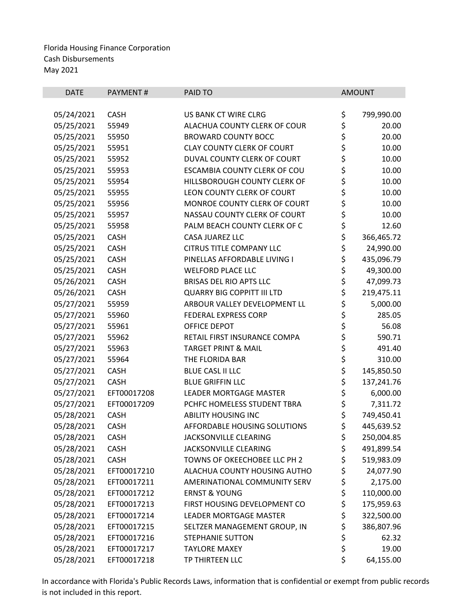| <b>DATE</b> | PAYMENT#    | PAID TO                           | <b>AMOUNT</b>    |
|-------------|-------------|-----------------------------------|------------------|
| 05/24/2021  | <b>CASH</b> | US BANK CT WIRE CLRG              | \$<br>799,990.00 |
| 05/25/2021  | 55949       | ALACHUA COUNTY CLERK OF COUR      | \$<br>20.00      |
| 05/25/2021  | 55950       | <b>BROWARD COUNTY BOCC</b>        | \$<br>20.00      |
| 05/25/2021  | 55951       | <b>CLAY COUNTY CLERK OF COURT</b> | \$<br>10.00      |
| 05/25/2021  | 55952       | DUVAL COUNTY CLERK OF COURT       | \$<br>10.00      |
| 05/25/2021  | 55953       | ESCAMBIA COUNTY CLERK OF COU      | \$<br>10.00      |
| 05/25/2021  | 55954       | HILLSBOROUGH COUNTY CLERK OF      | \$<br>10.00      |
| 05/25/2021  | 55955       | LEON COUNTY CLERK OF COURT        | \$<br>10.00      |
| 05/25/2021  | 55956       | MONROE COUNTY CLERK OF COURT      | \$<br>10.00      |
| 05/25/2021  | 55957       | NASSAU COUNTY CLERK OF COURT      | \$<br>10.00      |
| 05/25/2021  | 55958       | PALM BEACH COUNTY CLERK OF C      | \$<br>12.60      |
| 05/25/2021  | <b>CASH</b> | CASA JUAREZ LLC                   | \$<br>366,465.72 |
| 05/25/2021  | <b>CASH</b> | <b>CITRUS TITLE COMPANY LLC</b>   | \$<br>24,990.00  |
| 05/25/2021  | <b>CASH</b> | PINELLAS AFFORDABLE LIVING I      | \$<br>435,096.79 |
| 05/25/2021  | <b>CASH</b> | <b>WELFORD PLACE LLC</b>          | \$<br>49,300.00  |
| 05/26/2021  | <b>CASH</b> | <b>BRISAS DEL RIO APTS LLC</b>    | \$<br>47,099.73  |
| 05/26/2021  | <b>CASH</b> | <b>QUARRY BIG COPPITT III LTD</b> | \$<br>219,475.11 |
| 05/27/2021  | 55959       | ARBOUR VALLEY DEVELOPMENT LL      | \$<br>5,000.00   |
| 05/27/2021  | 55960       | <b>FEDERAL EXPRESS CORP</b>       | \$<br>285.05     |
| 05/27/2021  | 55961       | OFFICE DEPOT                      | \$<br>56.08      |
| 05/27/2021  | 55962       | RETAIL FIRST INSURANCE COMPA      | \$<br>590.71     |
| 05/27/2021  | 55963       | <b>TARGET PRINT &amp; MAIL</b>    | \$<br>491.40     |
| 05/27/2021  | 55964       | THE FLORIDA BAR                   | \$<br>310.00     |
| 05/27/2021  | <b>CASH</b> | <b>BLUE CASL II LLC</b>           | \$<br>145,850.50 |
| 05/27/2021  | <b>CASH</b> | <b>BLUE GRIFFIN LLC</b>           | \$<br>137,241.76 |
| 05/27/2021  | EFT00017208 | <b>LEADER MORTGAGE MASTER</b>     | \$<br>6,000.00   |
| 05/27/2021  | EFT00017209 | PCHFC HOMELESS STUDENT TBRA       | \$<br>7,311.72   |
| 05/28/2021  | <b>CASH</b> | <b>ABILITY HOUSING INC</b>        | \$<br>749,450.41 |
| 05/28/2021  | <b>CASH</b> | AFFORDABLE HOUSING SOLUTIONS      | \$<br>445,639.52 |
| 05/28/2021  | <b>CASH</b> | JACKSONVILLE CLEARING             | \$<br>250,004.85 |
| 05/28/2021  | <b>CASH</b> | JACKSONVILLE CLEARING             | \$<br>491,899.54 |
| 05/28/2021  | <b>CASH</b> | TOWNS OF OKEECHOBEE LLC PH 2      | \$<br>519,983.09 |
| 05/28/2021  | EFT00017210 | ALACHUA COUNTY HOUSING AUTHO      | \$<br>24,077.90  |
| 05/28/2021  | EFT00017211 | AMERINATIONAL COMMUNITY SERV      | \$<br>2,175.00   |
| 05/28/2021  | EFT00017212 | <b>ERNST &amp; YOUNG</b>          | \$<br>110,000.00 |
| 05/28/2021  | EFT00017213 | FIRST HOUSING DEVELOPMENT CO      | \$<br>175,959.63 |
| 05/28/2021  | EFT00017214 | LEADER MORTGAGE MASTER            | \$<br>322,500.00 |
| 05/28/2021  | EFT00017215 | SELTZER MANAGEMENT GROUP, IN      | \$<br>386,807.96 |
| 05/28/2021  | EFT00017216 | STEPHANIE SUTTON                  | \$<br>62.32      |
| 05/28/2021  | EFT00017217 | <b>TAYLORE MAXEY</b>              | \$<br>19.00      |
| 05/28/2021  | EFT00017218 | TP THIRTEEN LLC                   | \$<br>64,155.00  |